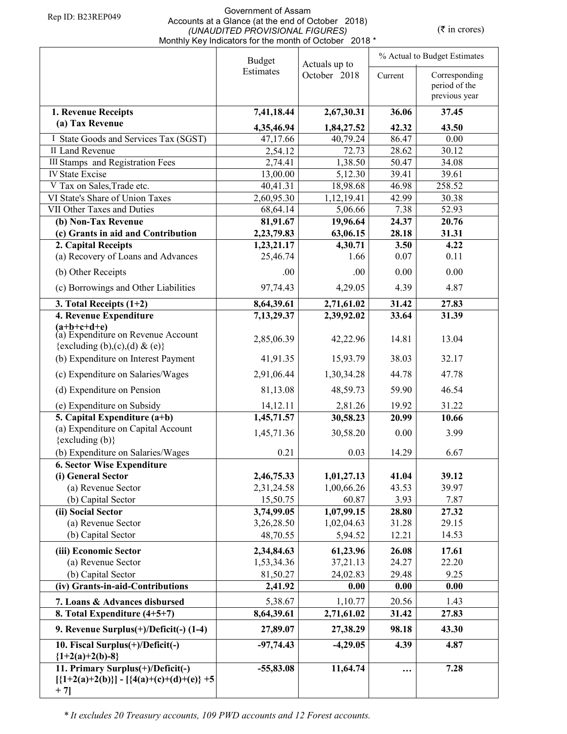#### Government of Assam Accounts at a Glance (at the end of October 2018) *(UNAUDITED PROVISIONAL FIGURES)*  Monthly Key Indicators for the month of October 2018 \*

 $(\bar{\tau}$  in crores)

|                                                                                           | <b>Budget</b>       | Actuals up to     | % Actual to Budget Estimates |                                                 |
|-------------------------------------------------------------------------------------------|---------------------|-------------------|------------------------------|-------------------------------------------------|
|                                                                                           | Estimates           | October 2018      | Current                      | Corresponding<br>period of the<br>previous year |
| 1. Revenue Receipts                                                                       | 7,41,18.44          | 2,67,30.31        | 36.06                        | 37.45                                           |
| (a) Tax Revenue                                                                           |                     |                   |                              |                                                 |
|                                                                                           | 4,35,46.94          | 1,84,27.52        | 42.32                        | 43.50                                           |
| I State Goods and Services Tax (SGST)<br>II Land Revenue                                  | 47,17.66<br>2,54.12 | 40,79.24<br>72.73 | 86.47<br>28.62               | 0.00<br>30.12                                   |
| <b>III Stamps</b> and Registration Fees                                                   | 2,74.41             | 1,38.50           | 50.47                        | 34.08                                           |
| <b>IV State Excise</b>                                                                    | 13,00.00            | 5,12.30           | 39.41                        | 39.61                                           |
| V Tax on Sales, Trade etc.                                                                | 40,41.31            | 18,98.68          | 46.98                        | 258.52                                          |
| VI State's Share of Union Taxes                                                           | 2,60,95.30          | 1,12,19.41        | 42.99                        | 30.38                                           |
| VII Other Taxes and Duties                                                                | 68,64.14            | 5,06.66           | 7.38                         | 52.93                                           |
| (b) Non-Tax Revenue                                                                       | 81,91.67            | 19,96.64          | 24.37                        | 20.76                                           |
| (c) Grants in aid and Contribution                                                        | 2,23,79.83          | 63,06.15          | 28.18                        | 31.31                                           |
| 2. Capital Receipts                                                                       | 1,23,21.17          | 4,30.71           | 3.50                         | 4.22                                            |
| (a) Recovery of Loans and Advances                                                        | 25,46.74            | 1.66              | 0.07                         | 0.11                                            |
| (b) Other Receipts                                                                        | .00                 | .00.              | 0.00                         | 0.00                                            |
| (c) Borrowings and Other Liabilities                                                      | 97,74.43            | 4,29.05           | 4.39                         | 4.87                                            |
| 3. Total Receipts $(1+2)$                                                                 | 8,64,39.61          | 2,71,61.02        | 31.42                        | 27.83                                           |
| 4. Revenue Expenditure                                                                    | 7,13,29.37          | 2,39,92.02        | 33.64                        | 31.39                                           |
| $(a+b+c+d+e)$<br>(a) Expenditure on Revenue Account<br>{excluding (b),(c),(d) & (e)}      | 2,85,06.39          | 42,22.96          | 14.81                        | 13.04                                           |
| (b) Expenditure on Interest Payment                                                       | 41,91.35            | 15,93.79          | 38.03                        | 32.17                                           |
| (c) Expenditure on Salaries/Wages                                                         | 2,91,06.44          | 1,30,34.28        | 44.78                        | 47.78                                           |
| (d) Expenditure on Pension                                                                | 81,13.08            | 48,59.73          | 59.90                        | 46.54                                           |
| (e) Expenditure on Subsidy                                                                | 14,12.11            | 2,81.26           | 19.92                        | 31.22                                           |
| 5. Capital Expenditure $(a+b)$                                                            | 1,45,71.57          | 30,58.23          | 20.99                        | 10.66                                           |
| (a) Expenditure on Capital Account                                                        | 1,45,71.36          | 30,58.20          | 0.00                         | 3.99                                            |
| $\{excluding (b)\}$                                                                       |                     |                   |                              |                                                 |
| (b) Expenditure on Salaries/Wages                                                         | 0.21                | 0.03              | 14.29                        | 6.67                                            |
| <b>6. Sector Wise Expenditure</b>                                                         |                     |                   |                              |                                                 |
| (i) General Sector                                                                        | 2,46,75.33          | 1,01,27.13        | 41.04                        | 39.12                                           |
| (a) Revenue Sector                                                                        | 2,31,24.58          | 1,00,66.26        | 43.53                        | 39.97                                           |
| (b) Capital Sector                                                                        | 15,50.75            | 60.87             | 3.93                         | 7.87                                            |
| (ii) Social Sector                                                                        | 3,74,99.05          | 1,07,99.15        | 28.80                        | 27.32                                           |
| (a) Revenue Sector                                                                        | 3,26,28.50          | 1,02,04.63        | 31.28                        | 29.15                                           |
| (b) Capital Sector                                                                        | 48,70.55            | 5,94.52           | 12.21                        | 14.53                                           |
| (iii) Economic Sector                                                                     | 2,34,84.63          | 61,23.96          | 26.08                        | 17.61                                           |
| (a) Revenue Sector                                                                        | 1,53,34.36          | 37,21.13          | 24.27                        | 22.20                                           |
| (b) Capital Sector                                                                        | 81,50.27            | 24,02.83          | 29.48                        | 9.25                                            |
| (iv) Grants-in-aid-Contributions                                                          | 2,41.92             | 0.00              | 0.00                         | 0.00                                            |
| 7. Loans & Advances disbursed                                                             | 5,38.67             | 1,10.77           | 20.56                        | 1.43                                            |
| 8. Total Expenditure (4+5+7)                                                              | 8,64,39.61          | 2,71,61.02        | 31.42                        | 27.83                                           |
| 9. Revenue Surplus(+)/Deficit(-) (1-4)                                                    | 27,89.07            | 27,38.29          | 98.18                        | 43.30                                           |
| 10. Fiscal Surplus(+)/Deficit(-)<br>${1+2(a)+2(b)-8}$                                     | $-97,74.43$         | $-4,29.05$        | 4.39                         | 4.87                                            |
| 11. Primary Surplus(+)/Deficit(-)<br>$[{1+2(a)+2(b)}] - [{4(a)+(c)+(d)+(e)}+5]$<br>$+7$ ] | $-55,83.08$         | 11,64.74          |                              | 7.28                                            |

*\* It excludes 20 Treasury accounts, 109 PWD accounts and 12 Forest accounts.*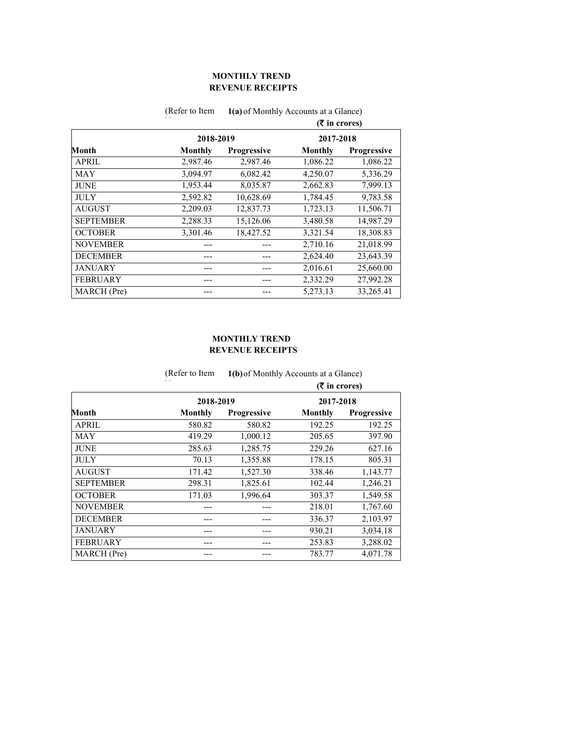# **REVENUE RECEIPTS MONTHLY TREND**

|                  |           |                    | $($ ₹ in crores) |             |
|------------------|-----------|--------------------|------------------|-------------|
|                  | 2018-2019 |                    | 2017-2018        |             |
| Month            | Monthly   | <b>Progressive</b> | Monthly          | Progressive |
| <b>APRIL</b>     | 2,987.46  | 2,987.46           | 1,086.22         | 1,086.22    |
| <b>MAY</b>       | 3,094.97  | 6,082.42           | 4,250.07         | 5,336.29    |
| <b>JUNE</b>      | 1,953.44  | 8,035.87           | 2,662.83         | 7,999.13    |
| <b>JULY</b>      | 2,592.82  | 10,628.69          | 1,784.45         | 9,783.58    |
| <b>AUGUST</b>    | 2,209.03  | 12,837.73          | 1,723.13         | 11,506.71   |
| <b>SEPTEMBER</b> | 2,288.33  | 15,126.06          | 3,480.58         | 14,987.29   |
| <b>OCTOBER</b>   | 3,301.46  | 18,427.52          | 3,321.54         | 18,308.83   |
| <b>NOVEMBER</b>  |           |                    | 2,710.16         | 21,018.99   |
| <b>DECEMBER</b>  |           |                    | 2,624.40         | 23,643.39   |
| <b>JANUARY</b>   |           |                    | 2,016.61         | 25,660.00   |
| <b>FEBRUARY</b>  |           |                    | 2,332.29         | 27,992.28   |
| MARCH (Pre)      |           |                    | 5,273.13         | 33,265.41   |

(Refer to Item **1(a)** of Monthly Accounts at a Glance)

### **REVENUE RECEIPTS MONTHLY TREND**

|                  | (Refer to Item | 1(b) of Monthly Accounts at a Glance)<br>$(\overline{\mathbf{\overline{z}}}$ in crores) |           |                    |
|------------------|----------------|-----------------------------------------------------------------------------------------|-----------|--------------------|
|                  |                |                                                                                         |           |                    |
|                  | 2018-2019      |                                                                                         | 2017-2018 |                    |
| Month            | Monthly        | <b>Progressive</b>                                                                      | Monthly   | <b>Progressive</b> |
| <b>APRIL</b>     | 580.82         | 580.82                                                                                  | 192.25    | 192.25             |
| <b>MAY</b>       | 419.29         | 1,000.12                                                                                | 205.65    | 397.90             |
| <b>JUNE</b>      | 285.63         | 1,285.75                                                                                | 229.26    | 627.16             |
| <b>JULY</b>      | 70.13          | 1,355.88                                                                                | 178.15    | 805.31             |
| <b>AUGUST</b>    | 171.42         | 1,527.30                                                                                | 338.46    | 1,143.77           |
| <b>SEPTEMBER</b> | 298.31         | 1,825.61                                                                                | 102.44    | 1,246.21           |
| <b>OCTOBER</b>   | 171.03         | 1,996.64                                                                                | 303.37    | 1,549.58           |
| <b>NOVEMBER</b>  |                |                                                                                         | 218.01    | 1,767.60           |
| <b>DECEMBER</b>  |                |                                                                                         | 336.37    | 2,103.97           |
| <b>JANUARY</b>   |                |                                                                                         | 930.21    | 3,034.18           |
| <b>FEBRUARY</b>  |                |                                                                                         | 253.83    | 3,288.02           |
| MARCH (Pre)      |                |                                                                                         | 783.77    | 4,071.78           |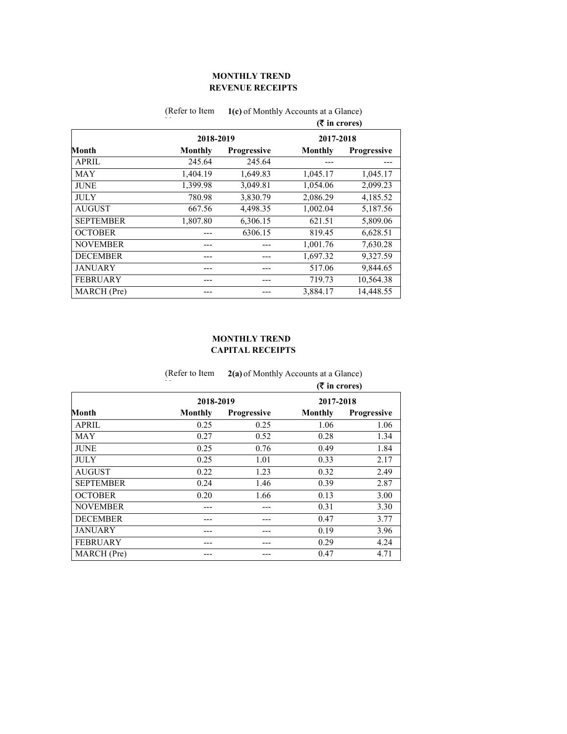# **REVENUE RECEIPTS MONTHLY TREND**

|                  |           |             | $(3\overline{5})$ in crores) |                    |
|------------------|-----------|-------------|------------------------------|--------------------|
|                  | 2018-2019 |             | 2017-2018                    |                    |
| Month            | Monthly   | Progressive | Monthly                      | <b>Progressive</b> |
| <b>APRIL</b>     | 245.64    | 245.64      |                              |                    |
| <b>MAY</b>       | 1,404.19  | 1,649.83    | 1,045.17                     | 1,045.17           |
| <b>JUNE</b>      | 1,399.98  | 3,049.81    | 1,054.06                     | 2,099.23           |
| <b>JULY</b>      | 780.98    | 3,830.79    | 2,086.29                     | 4,185.52           |
| <b>AUGUST</b>    | 667.56    | 4,498.35    | 1,002.04                     | 5,187.56           |
| <b>SEPTEMBER</b> | 1,807.80  | 6,306.15    | 621.51                       | 5,809.06           |
| <b>OCTOBER</b>   |           | 6306.15     | 819.45                       | 6,628.51           |
| <b>NOVEMBER</b>  |           |             | 1,001.76                     | 7,630.28           |
| <b>DECEMBER</b>  |           |             | 1,697.32                     | 9,327.59           |
| <b>JANUARY</b>   |           |             | 517.06                       | 9,844.65           |
| <b>FEBRUARY</b>  |           | ---         | 719.73                       | 10,564.38          |
| MARCH (Pre)      |           |             | 3,884.17                     | 14,448.55          |

#### (Refer to Item 1(c) of Monthly Accounts at a Glance)

### **CAPITAL RECEIPTS MONTHLY TREND**

|                  | (Refer to Item | 2(a) of Monthly Accounts at a Glance) |                |                    |  |
|------------------|----------------|---------------------------------------|----------------|--------------------|--|
|                  |                |                                       |                | $($ ₹ in crores)   |  |
|                  | 2018-2019      |                                       | 2017-2018      |                    |  |
| Month            | Monthly        | <b>Progressive</b>                    | <b>Monthly</b> | <b>Progressive</b> |  |
| <b>APRIL</b>     | 0.25           | 0.25                                  | 1.06           | 1.06               |  |
| MAY              | 0.27           | 0.52                                  | 0.28           | 1.34               |  |
| <b>JUNE</b>      | 0.25           | 0.76                                  | 0.49           | 1.84               |  |
| <b>JULY</b>      | 0.25           | 1.01                                  | 0.33           | 2.17               |  |
| <b>AUGUST</b>    | 0.22           | 1.23                                  | 0.32           | 2.49               |  |
| <b>SEPTEMBER</b> | 0.24           | 1.46                                  | 0.39           | 2.87               |  |
| <b>OCTOBER</b>   | 0.20           | 1.66                                  | 0.13           | 3.00               |  |
| <b>NOVEMBER</b>  |                |                                       | 0.31           | 3.30               |  |
| <b>DECEMBER</b>  |                |                                       | 0.47           | 3.77               |  |
| <b>JANUARY</b>   |                | ---                                   | 0.19           | 3.96               |  |
| <b>FEBRUARY</b>  |                | ---                                   | 0.29           | 4.24               |  |
| MARCH (Pre)      |                |                                       | 0.47           | 4.71               |  |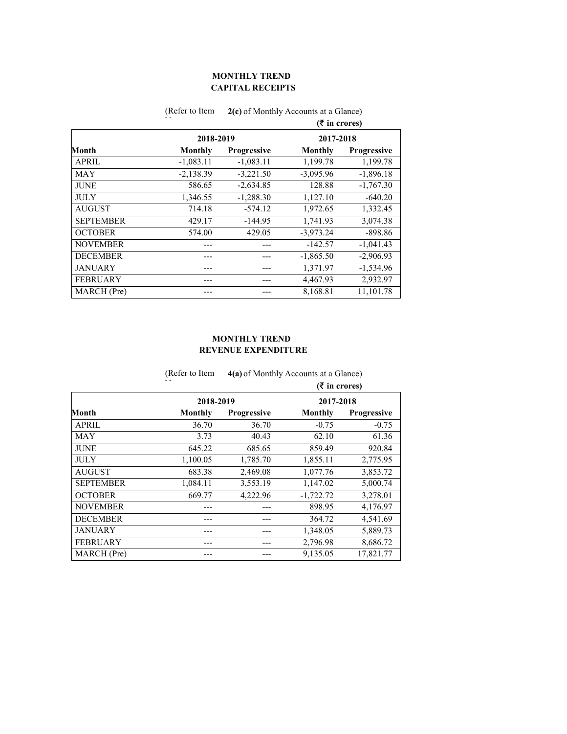### **CAPITAL RECEIPTS MONTHLY TREND**

|                  |             |             | $(5 \times 1)$ crores) |                    |
|------------------|-------------|-------------|------------------------|--------------------|
|                  | 2018-2019   |             | 2017-2018              |                    |
| Month            | Monthly     | Progressive | Monthly                | <b>Progressive</b> |
| <b>APRIL</b>     | $-1,083.11$ | $-1,083.11$ | 1,199.78               | 1,199.78           |
| <b>MAY</b>       | $-2,138.39$ | $-3,221.50$ | $-3,095.96$            | $-1,896.18$        |
| <b>JUNE</b>      | 586.65      | $-2,634.85$ | 128.88                 | $-1,767.30$        |
| <b>JULY</b>      | 1,346.55    | $-1,288.30$ | 1,127.10               | $-640.20$          |
| <b>AUGUST</b>    | 714.18      | $-574.12$   | 1,972.65               | 1,332.45           |
| <b>SEPTEMBER</b> | 429.17      | $-144.95$   | 1,741.93               | 3,074.38           |
| <b>OCTOBER</b>   | 574.00      | 429.05      | $-3.973.24$            | $-898.86$          |
| <b>NOVEMBER</b>  |             |             | $-142.57$              | $-1,041.43$        |
| <b>DECEMBER</b>  |             | ---         | $-1,865.50$            | $-2,906.93$        |
| <b>JANUARY</b>   |             |             | 1,371.97               | $-1,534.96$        |
| <b>FEBRUARY</b>  |             |             | 4,467.93               | 2,932.97           |
| MARCH (Pre)      |             |             | 8.168.81               | 11.101.78          |

(Refer to Item 2(c) of Monthly Accounts at a Glance)

### **REVENUE EXPENDITURE MONTHLY TREND**

|                  | (Refer to Item | 4(a) of Monthly Accounts at a Glance) |                  |                    |
|------------------|----------------|---------------------------------------|------------------|--------------------|
|                  |                |                                       | $($ ₹ in crores) |                    |
|                  | 2018-2019      |                                       | 2017-2018        |                    |
| Month            | Monthly        | Progressive                           | <b>Monthly</b>   | <b>Progressive</b> |
| <b>APRIL</b>     | 36.70          | 36.70                                 | $-0.75$          | $-0.75$            |
| <b>MAY</b>       | 3.73           | 40.43                                 | 62.10            | 61.36              |
| <b>JUNE</b>      | 645.22         | 685.65                                | 859.49           | 920.84             |
| <b>JULY</b>      | 1,100.05       | 1,785.70                              | 1,855.11         | 2,775.95           |
| <b>AUGUST</b>    | 683.38         | 2,469.08                              | 1,077.76         | 3,853.72           |
| <b>SEPTEMBER</b> | 1,084.11       | 3,553.19                              | 1,147.02         | 5,000.74           |
| <b>OCTOBER</b>   | 669.77         | 4,222.96                              | $-1,722.72$      | 3,278.01           |
| <b>NOVEMBER</b>  |                |                                       | 898.95           | 4,176.97           |
| <b>DECEMBER</b>  |                |                                       | 364.72           | 4,541.69           |
| <b>JANUARY</b>   |                |                                       | 1,348.05         | 5,889.73           |
| <b>FEBRUARY</b>  |                |                                       | 2,796.98         | 8,686.72           |
| MARCH (Pre)      |                |                                       | 9,135.05         | 17,821.77          |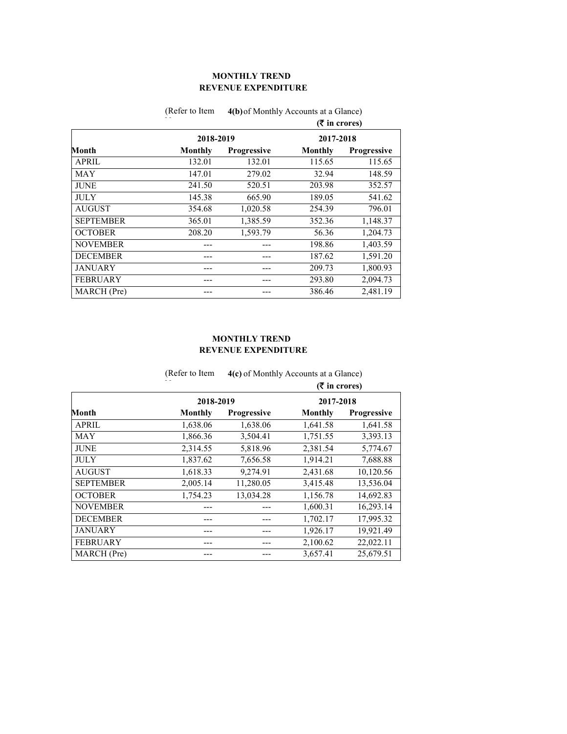# **REVENUE EXPENDITURE MONTHLY TREND**

|                  |           |             | $(3\overline{5})$ in crores) |                    |
|------------------|-----------|-------------|------------------------------|--------------------|
|                  | 2018-2019 |             | 2017-2018                    |                    |
| Month            | Monthly   | Progressive | <b>Monthly</b>               | <b>Progressive</b> |
| <b>APRIL</b>     | 132.01    | 132.01      | 115.65                       | 115.65             |
| <b>MAY</b>       | 147.01    | 279.02      | 32.94                        | 148.59             |
| <b>JUNE</b>      | 241.50    | 520.51      | 203.98                       | 352.57             |
| <b>JULY</b>      | 145.38    | 665.90      | 189.05                       | 541.62             |
| <b>AUGUST</b>    | 354.68    | 1,020.58    | 254.39                       | 796.01             |
| <b>SEPTEMBER</b> | 365.01    | 1,385.59    | 352.36                       | 1,148.37           |
| <b>OCTOBER</b>   | 208.20    | 1,593.79    | 56.36                        | 1,204.73           |
| <b>NOVEMBER</b>  |           |             | 198.86                       | 1,403.59           |
| <b>DECEMBER</b>  |           | ---         | 187.62                       | 1,591.20           |
| <b>JANUARY</b>   |           |             | 209.73                       | 1,800.93           |
| <b>FEBRUARY</b>  |           | ---         | 293.80                       | 2,094.73           |
| MARCH (Pre)      |           |             | 386.46                       | 2.481.19           |

(Refer to Item 4(b) of Monthly Accounts at a Glance)

### **REVENUE EXPENDITURE MONTHLY TREND**

|                  | (Refer to Item | 4(c) of Monthly Accounts at a Glance) |                |                                                                                                                                                                            |  |
|------------------|----------------|---------------------------------------|----------------|----------------------------------------------------------------------------------------------------------------------------------------------------------------------------|--|
|                  |                |                                       |                | $($ ₹ in crores)<br>2017-2018<br>Progressive<br>1,641.58<br>3,393.13<br>5,774.67<br>7,688.88<br>10,120.56<br>13,536.04<br>14,692.83<br>16,293.14<br>17,995.32<br>19,921.49 |  |
|                  | 2018-2019      |                                       |                |                                                                                                                                                                            |  |
| Month            | Monthly        | Progressive                           | <b>Monthly</b> |                                                                                                                                                                            |  |
| <b>APRIL</b>     | 1,638.06       | 1,638.06                              | 1,641.58       |                                                                                                                                                                            |  |
| <b>MAY</b>       | 1,866.36       | 3,504.41                              | 1,751.55       |                                                                                                                                                                            |  |
| <b>JUNE</b>      | 2,314.55       | 5,818.96                              | 2,381.54       |                                                                                                                                                                            |  |
| <b>JULY</b>      | 1,837.62       | 7,656.58                              | 1,914.21       |                                                                                                                                                                            |  |
| <b>AUGUST</b>    | 1,618.33       | 9,274.91                              | 2,431.68       |                                                                                                                                                                            |  |
| <b>SEPTEMBER</b> | 2,005.14       | 11,280.05                             | 3,415.48       |                                                                                                                                                                            |  |
| <b>OCTOBER</b>   | 1,754.23       | 13,034.28                             | 1,156.78       |                                                                                                                                                                            |  |
| <b>NOVEMBER</b>  |                |                                       | 1,600.31       |                                                                                                                                                                            |  |
| <b>DECEMBER</b>  |                |                                       | 1,702.17       |                                                                                                                                                                            |  |
| <b>JANUARY</b>   |                |                                       | 1,926.17       |                                                                                                                                                                            |  |
| <b>FEBRUARY</b>  |                |                                       | 2,100.62       | 22,022.11                                                                                                                                                                  |  |
| MARCH (Pre)      |                |                                       | 3,657.41       | 25,679.51                                                                                                                                                                  |  |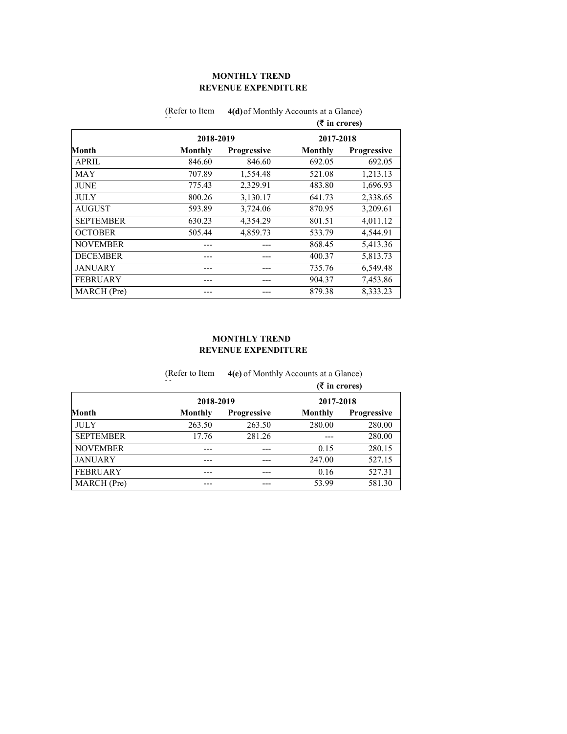### **REVENUE EXPENDITURE MONTHLY TREND**

|                  |                |             | $(3\overline{5})$ in crores) |                    |
|------------------|----------------|-------------|------------------------------|--------------------|
|                  | 2018-2019      |             | 2017-2018                    |                    |
| Month            | <b>Monthly</b> | Progressive | Monthly                      | <b>Progressive</b> |
| <b>APRIL</b>     | 846.60         | 846.60      | 692.05                       | 692.05             |
| <b>MAY</b>       | 707.89         | 1,554.48    | 521.08                       | 1,213.13           |
| <b>JUNE</b>      | 775.43         | 2,329.91    | 483.80                       | 1,696.93           |
| <b>JULY</b>      | 800.26         | 3,130.17    | 641.73                       | 2,338.65           |
| <b>AUGUST</b>    | 593.89         | 3,724.06    | 870.95                       | 3,209.61           |
| <b>SEPTEMBER</b> | 630.23         | 4,354.29    | 801.51                       | 4,011.12           |
| <b>OCTOBER</b>   | 505.44         | 4,859.73    | 533.79                       | 4,544.91           |
| <b>NOVEMBER</b>  |                |             | 868.45                       | 5,413.36           |
| <b>DECEMBER</b>  |                | ---         | 400.37                       | 5,813.73           |
| <b>JANUARY</b>   |                |             | 735.76                       | 6,549.48           |
| <b>FEBRUARY</b>  |                | ---         | 904.37                       | 7,453.86           |
| MARCH (Pre)      |                |             | 879.38                       | 8.333.23           |

(Refer to Item 4(d) of Monthly Accounts at a Glance)

### **REVENUE EXPENDITURE MONTHLY TREND**

|                  | (Refer to Item | 4(e) of Monthly Accounts at a Glance) |                 |                    |
|------------------|----------------|---------------------------------------|-----------------|--------------------|
|                  |                |                                       | $(5$ in crores) |                    |
|                  | 2018-2019      |                                       | 2017-2018       |                    |
| Month            | Monthly        | <b>Progressive</b>                    | Monthly         | <b>Progressive</b> |
| <b>JULY</b>      | 263.50         | 263.50                                | 280.00          | 280.00             |
| <b>SEPTEMBER</b> | 17.76          | 281.26                                |                 | 280.00             |
| <b>NOVEMBER</b>  |                |                                       | 0.15            | 280.15             |
| <b>JANUARY</b>   | ---            | ---                                   | 247.00          | 527.15             |
| <b>FEBRUARY</b>  | ---            | ---                                   | 0.16            | 527.31             |
| MARCH (Pre)      |                |                                       | 53.99           | 581.30             |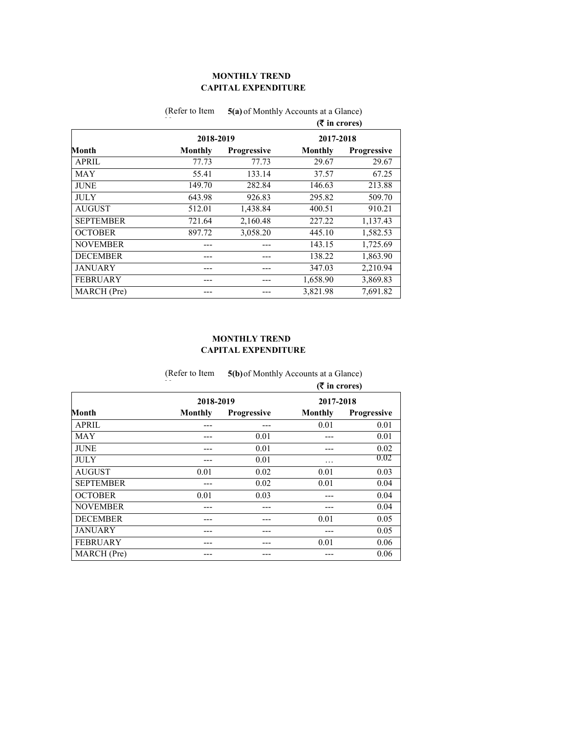# **CAPITAL EXPENDITURE MONTHLY TREND**

|                  |           |             | $(3\overline{5})$ in crores) |                    |
|------------------|-----------|-------------|------------------------------|--------------------|
|                  | 2018-2019 |             | 2017-2018                    |                    |
| Month            | Monthly   | Progressive | Monthly                      | <b>Progressive</b> |
| <b>APRIL</b>     | 77.73     | 77.73       | 29.67                        | 29.67              |
| MAY              | 55.41     | 133.14      | 37.57                        | 67.25              |
| <b>JUNE</b>      | 149.70    | 282.84      | 146.63                       | 213.88             |
| <b>JULY</b>      | 643.98    | 926.83      | 295.82                       | 509.70             |
| <b>AUGUST</b>    | 512.01    | 1,438.84    | 400.51                       | 910.21             |
| <b>SEPTEMBER</b> | 721.64    | 2,160.48    | 227.22                       | 1,137.43           |
| <b>OCTOBER</b>   | 897.72    | 3,058.20    | 445.10                       | 1,582.53           |
| <b>NOVEMBER</b>  |           |             | 143.15                       | 1,725.69           |
| <b>DECEMBER</b>  |           |             | 138.22                       | 1,863.90           |
| <b>JANUARY</b>   |           |             | 347.03                       | 2,210.94           |
| <b>FEBRUARY</b>  |           | ---         | 1,658.90                     | 3,869.83           |
| MARCH (Pre)      |           |             | 3,821.98                     | 7,691.82           |

(Refer to Item 5(a) of Monthly Accounts at a Glance)

### **CAPITAL EXPENDITURE MONTHLY TREND**

|                  | (Refer to Item | 5(b) of Monthly Accounts at a Glance) |           |                    |
|------------------|----------------|---------------------------------------|-----------|--------------------|
|                  |                | $(5$ in crores)                       |           |                    |
|                  | 2018-2019      |                                       | 2017-2018 |                    |
| Month            | Monthly        | <b>Progressive</b>                    | Monthly   | <b>Progressive</b> |
| <b>APRIL</b>     |                | ---                                   | 0.01      | 0.01               |
| <b>MAY</b>       |                | 0.01                                  | --        | 0.01               |
| <b>JUNE</b>      |                | 0.01                                  |           | 0.02               |
| <b>JULY</b>      |                | 0.01                                  | .         | 0.02               |
| <b>AUGUST</b>    | 0.01           | 0.02                                  | 0.01      | 0.03               |
| <b>SEPTEMBER</b> |                | 0.02                                  | 0.01      | 0.04               |
| <b>OCTOBER</b>   | 0.01           | 0.03                                  |           | 0.04               |
| <b>NOVEMBER</b>  |                |                                       | ---       | 0.04               |
| <b>DECEMBER</b>  |                | ---                                   | 0.01      | 0.05               |
| <b>JANUARY</b>   |                |                                       |           | 0.05               |
| <b>FEBRUARY</b>  | ---            | ---                                   | 0.01      | 0.06               |
| MARCH (Pre)      |                | ---                                   | ---       | 0.06               |